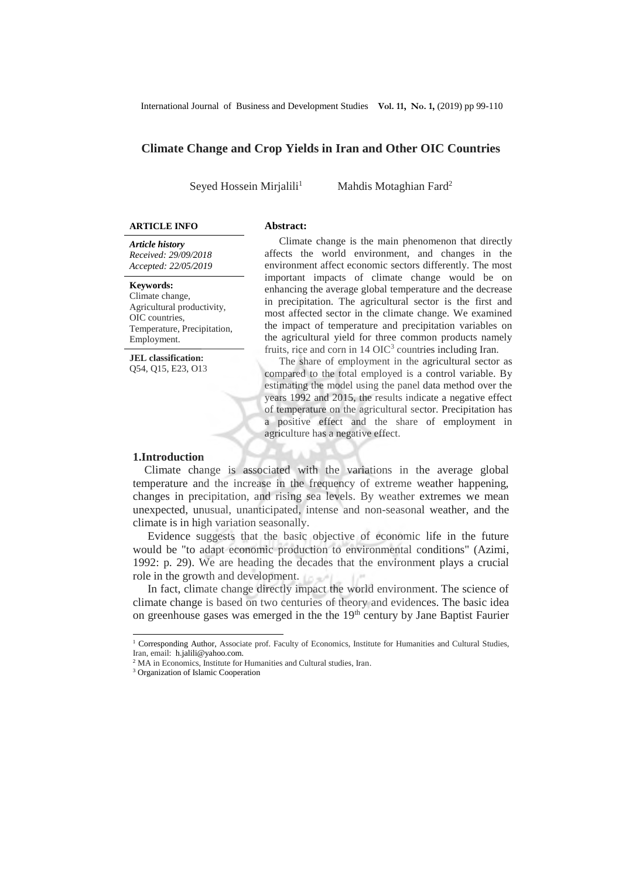International Journal of Business and Development Studies **Vol. 11, No. 1,** (2019) pp 99-110

# **Climate Change and Crop Yields in Iran and Other OIC Countries**

Seyed Hossein Mirjalili<sup>1</sup>

Mahdis Motaghian Fard<sup>2</sup>

### **ARTICLE INFO Abstract:**

*Article history Received: 29/09/2018 Accepted: 22/05/2019*

### **Keywords:**

Climate change, Agricultural productivity, OIC countries, Temperature, Precipitation, Employment.

**JEL classification:** Q54, Q15, E23, O13

Climate change is the main phenomenon that directly affects the world environment, and changes in the environment affect economic sectors differently. The most important impacts of climate change would be on enhancing the average global temperature and the decrease in precipitation. The agricultural sector is the first and most affected sector in the climate change. We examined the impact of temperature and precipitation variables on the agricultural yield for three common products namely fruits, rice and corn in 14 OIC<sup>3</sup> countries including Iran.

The share of employment in the agricultural sector as compared to the total employed is a control variable. By estimating the model using the panel data method over the years 1992 and 2015, the results indicate a negative effect of temperature on the agricultural sector. Precipitation has a positive effect and the share of employment in agriculture has a negative effect.

#### **1.Introduction**

 Climate change is associated with the variations in the average global temperature and the increase in the frequency of extreme weather happening, changes in precipitation, and rising sea levels. By weather extremes we mean unexpected, unusual, unanticipated, intense and non-seasonal weather, and the climate is in high variation seasonally.

Evidence suggests that the basic objective of economic life in the future would be "to adapt economic production to environmental conditions" (Azimi, 1992: p. 29). We are heading the decades that the environment plays a crucial role in the growth and development.

In fact, climate change directly impact the world environment. The science of climate change is based on two centuries of theory and evidences. The basic idea on greenhouse gases was emerged in the the  $19<sup>th</sup>$  century by Jane Baptist Faurier

<sup>1&</sup>lt;br><sup>1</sup> Corresponding Author, Associate prof. Faculty of Economics, Institute for Humanities and Cultural Studies, Iran, email: h.jalili@yahoo.com.

<sup>&</sup>lt;sup>2</sup> MA in Economics, Institute for Humanities and Cultural studies, Iran.

<sup>3</sup> Organization of Islamic Cooperation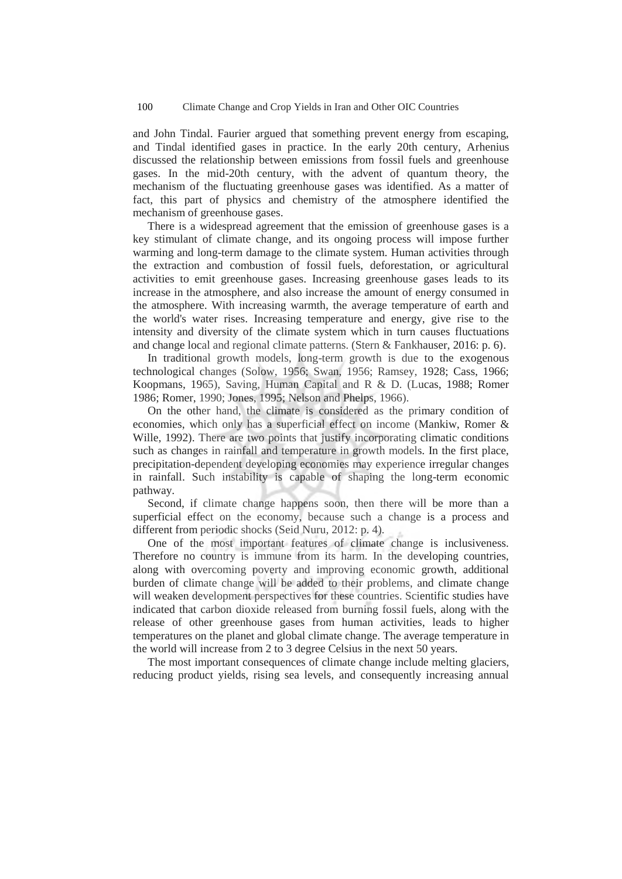and John Tindal. Faurier argued that something prevent energy from escaping, and Tindal identified gases in practice. In the early 20th century, Arhenius discussed the relationship between emissions from fossil fuels and greenhouse gases. In the mid-20th century, with the advent of quantum theory, the mechanism of the fluctuating greenhouse gases was identified. As a matter of fact, this part of physics and chemistry of the atmosphere identified the mechanism of greenhouse gases.

There is a widespread agreement that the emission of greenhouse gases is a key stimulant of climate change, and its ongoing process will impose further warming and long-term damage to the climate system. Human activities through the extraction and combustion of fossil fuels, deforestation, or agricultural activities to emit greenhouse gases. Increasing greenhouse gases leads to its increase in the atmosphere, and also increase the amount of energy consumed in the atmosphere. With increasing warmth, the average temperature of earth and the world's water rises. Increasing temperature and energy, give rise to the intensity and diversity of the climate system which in turn causes fluctuations and change local and regional climate patterns. (Stern & Fankhauser, 2016: p. 6).

In traditional growth models, long-term growth is due to the exogenous technological changes (Solow, 1956; Swan, 1956; Ramsey, 1928; Cass, 1966; Koopmans, 1965), Saving, Human Capital and R & D. (Lucas, 1988; Romer 1986; Romer, 1990; Jones, 1995; Nelson and Phelps, 1966).

On the other hand, the climate is considered as the primary condition of economies, which only has a superficial effect on income (Mankiw, Romer & Wille, 1992). There are two points that justify incorporating climatic conditions such as changes in rainfall and temperature in growth models. In the first place, precipitation-dependent developing economies may experience irregular changes in rainfall. Such instability is capable of shaping the long-term economic pathway.

Second, if climate change happens soon, then there will be more than a superficial effect on the economy, because such a change is a process and different from periodic shocks (Seid Nuru, 2012: p. 4).

One of the most important features of climate change is inclusiveness. Therefore no country is immune from its harm. In the developing countries, along with overcoming poverty and improving economic growth, additional burden of climate change will be added to their problems, and climate change will weaken development perspectives for these countries. Scientific studies have indicated that carbon dioxide released from burning fossil fuels, along with the release of other greenhouse gases from human activities, leads to higher temperatures on the planet and global climate change. The average temperature in the world will increase from 2 to 3 degree Celsius in the next 50 years.

The most important consequences of climate change include melting glaciers, reducing product yields, rising sea levels, and consequently increasing annual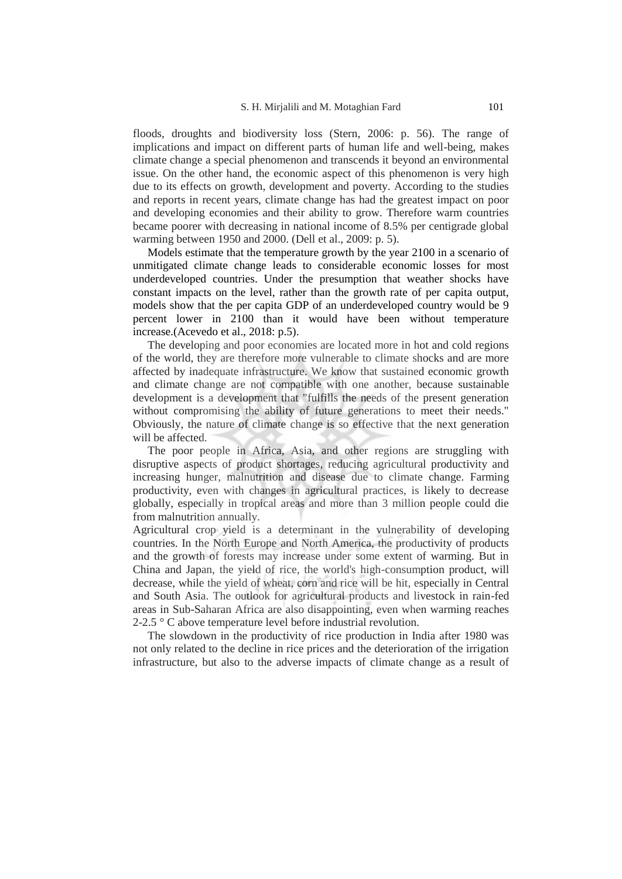floods, droughts and biodiversity loss (Stern, 2006: p. 56). The range of implications and impact on different parts of human life and well-being, makes climate change a special phenomenon and transcends it beyond an environmental issue. On the other hand, the economic aspect of this phenomenon is very high due to its effects on growth, development and poverty. According to the studies and reports in recent years, climate change has had the greatest impact on poor and developing economies and their ability to grow. Therefore warm countries became poorer with decreasing in national income of 8.5% per centigrade global warming between 1950 and 2000. (Dell et al., 2009: p. 5).

Models estimate that the temperature growth by the year 2100 in a scenario of unmitigated climate change leads to considerable economic losses for most underdeveloped countries. Under the presumption that weather shocks have constant impacts on the level, rather than the growth rate of per capita output, models show that the per capita GDP of an underdeveloped country would be 9 percent lower in 2100 than it would have been without temperature increase.(Acevedo et al., 2018: p.5).

The developing and poor economies are located more in hot and cold regions of the world, they are therefore more vulnerable to climate shocks and are more affected by inadequate infrastructure. We know that sustained economic growth and climate change are not compatible with one another, because sustainable development is a development that "fulfills the needs of the present generation without compromising the ability of future generations to meet their needs." Obviously, the nature of climate change is so effective that the next generation will be affected.

The poor people in Africa, Asia, and other regions are struggling with disruptive aspects of product shortages, reducing agricultural productivity and increasing hunger, malnutrition and disease due to climate change. Farming productivity, even with changes in agricultural practices, is likely to decrease globally, especially in tropical areas and more than 3 million people could die from malnutrition annually.

Agricultural crop yield is a determinant in the vulnerability of developing countries. In the North Europe and North America, the productivity of products and the growth of forests may increase under some extent of warming. But in China and Japan, the yield of rice, the world's high-consumption product, will decrease, while the yield of wheat, corn and rice will be hit, especially in Central and South Asia. The outlook for agricultural products and livestock in rain-fed areas in Sub-Saharan Africa are also disappointing, even when warming reaches 2-2.5 ° C above temperature level before industrial revolution.

The slowdown in the productivity of rice production in India after 1980 was not only related to the decline in rice prices and the deterioration of the irrigation infrastructure, but also to the adverse impacts of climate change as a result of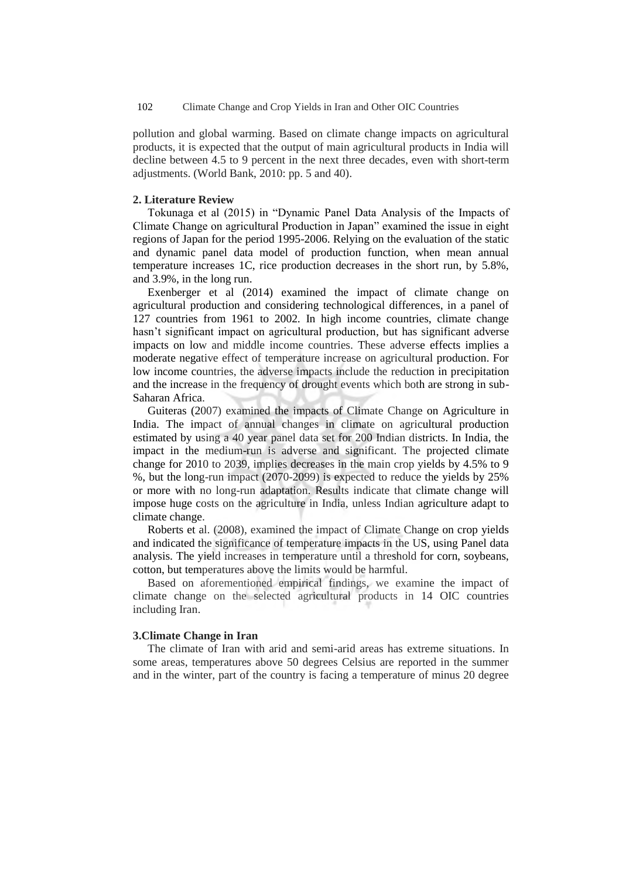pollution and global warming. Based on climate change impacts on agricultural products, it is expected that the output of main agricultural products in India will decline between 4.5 to 9 percent in the next three decades, even with short-term adjustments. (World Bank, 2010: pp. 5 and 40).

### **2. Literature Review**

Tokunaga et al (2015) in "Dynamic Panel Data Analysis of the Impacts of Climate Change on agricultural Production in Japan" examined the issue in eight regions of Japan for the period 1995-2006. Relying on the evaluation of the static and dynamic panel data model of production function, when mean annual temperature increases 1C, rice production decreases in the short run, by 5.8%, and 3.9%, in the long run.

Exenberger et al (2014) examined the impact of climate change on agricultural production and considering technological differences, in a panel of 127 countries from 1961 to 2002. In high income countries, climate change hasn't significant impact on agricultural production, but has significant adverse impacts on low and middle income countries. These adverse effects implies a moderate negative effect of temperature increase on agricultural production. For low income countries, the adverse impacts include the reduction in precipitation and the increase in the frequency of drought events which both are strong in sub-Saharan Africa.

Guiteras (2007) examined the impacts of Climate Change on Agriculture in India. The impact of annual changes in climate on agricultural production estimated by using a 40 year panel data set for 200 Indian districts. In India, the impact in the medium-run is adverse and significant. The projected climate change for 2010 to 2039, implies decreases in the main crop yields by 4.5% to 9 %, but the long-run impact (2070-2099) is expected to reduce the yields by 25% or more with no long-run adaptation. Results indicate that climate change will impose huge costs on the agriculture in India, unless Indian agriculture adapt to climate change.

Roberts et al. (2008), examined the impact of Climate Change on crop yields and indicated the significance of temperature impacts in the US, using Panel data analysis. The yield increases in temperature until a threshold for corn, soybeans, cotton, but temperatures above the limits would be harmful.

Based on aforementioned empirical findings, we examine the impact of climate change on the selected agricultural products in 14 OIC countries including Iran.

### **3.Climate Change in Iran**

The climate of Iran with arid and semi-arid areas has extreme situations. In some areas, temperatures above 50 degrees Celsius are reported in the summer and in the winter, part of the country is facing a temperature of minus 20 degree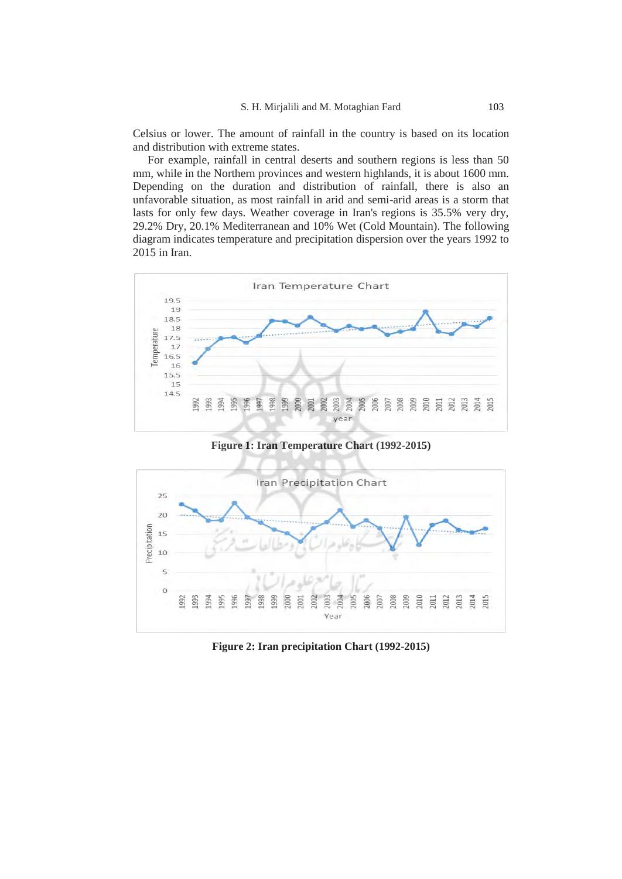Celsius or lower. The amount of rainfall in the country is based on its location and distribution with extreme states.

For example, rainfall in central deserts and southern regions is less than 50 mm, while in the Northern provinces and western highlands, it is about 1600 mm. Depending on the duration and distribution of rainfall, there is also an unfavorable situation, as most rainfall in arid and semi-arid areas is a storm that lasts for only few days. Weather coverage in Iran's regions is 35.5% very dry, 29.2% Dry, 20.1% Mediterranean and 10% Wet (Cold Mountain). The following diagram indicates temperature and precipitation dispersion over the years 1992 to 2015 in Iran.



**Figure 1: Iran Temperature Chart (1992-2015)** 



**Figure 2: Iran precipitation Chart (1992-2015)**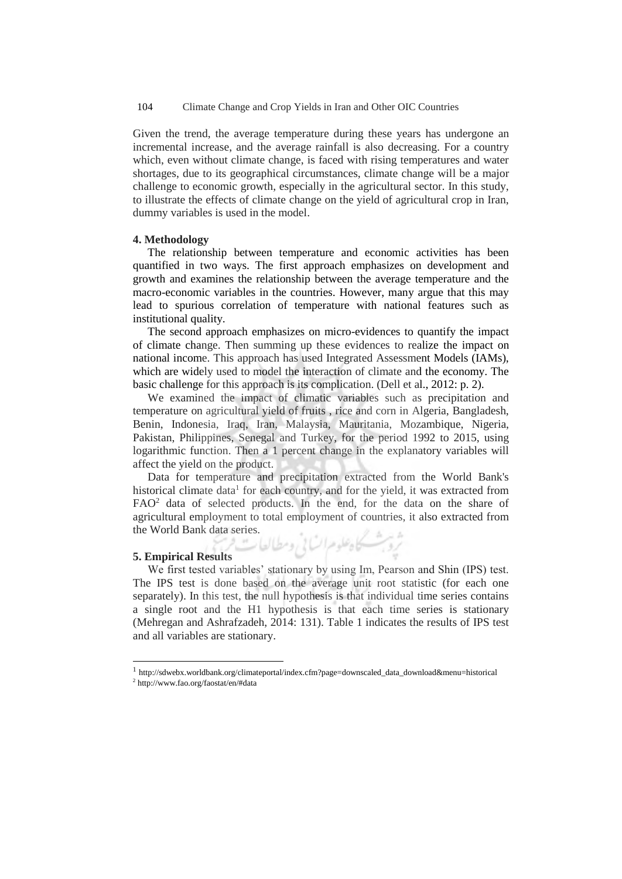Given the trend, the average temperature during these years has undergone an incremental increase, and the average rainfall is also decreasing. For a country which, even without climate change, is faced with rising temperatures and water shortages, due to its geographical circumstances, climate change will be a major challenge to economic growth, especially in the agricultural sector. In this study, to illustrate the effects of climate change on the yield of agricultural crop in Iran, dummy variables is used in the model.

#### **4. Methodology**

The relationship between temperature and economic activities has been quantified in two ways. The first approach emphasizes on development and growth and examines the relationship between the average temperature and the macro-economic variables in the countries. However, many argue that this may lead to spurious correlation of temperature with national features such as institutional quality.

The second approach emphasizes on micro-evidences to quantify the impact of climate change. Then summing up these evidences to realize the impact on national income. This approach has used Integrated Assessment Models (IAMs), which are widely used to model the interaction of climate and the economy. The basic challenge for this approach is its complication. (Dell et al., 2012: p. 2).

We examined the impact of climatic variables such as precipitation and temperature on agricultural yield of fruits , rice and corn in Algeria, Bangladesh, Benin, Indonesia, Iraq, Iran, Malaysia, Mauritania, Mozambique, Nigeria, Pakistan, Philippines, Senegal and Turkey, for the period 1992 to 2015, using logarithmic function. Then a 1 percent change in the explanatory variables will affect the yield on the product.

Data for temperature and precipitation extracted from the World Bank's historical climate data<sup>1</sup> for each country, and for the yield, it was extracted from FAO<sup>2</sup> data of selected products. In the end, for the data on the share of agricultural employment to total employment of countries, it also extracted from the World Bank data series.<br>5. Emnifical Peculia

#### **5. Empirical Results**

 $\overline{a}$ 

We first tested variables' stationary by using Im, Pearson and Shin (IPS) test. The IPS test is done based on the average unit root statistic (for each one separately). In this test, the null hypothesis is that individual time series contains a single root and the H1 hypothesis is that each time series is stationary (Mehregan and Ashrafzadeh, 2014: 131). Table 1 indicates the results of IPS test and all variables are stationary.

<sup>1</sup> http://sdwebx.worldbank.org/climateportal/index.cfm?page=downscaled\_data\_download&menu=historical 2 http://www.fao.org/faostat/en/#data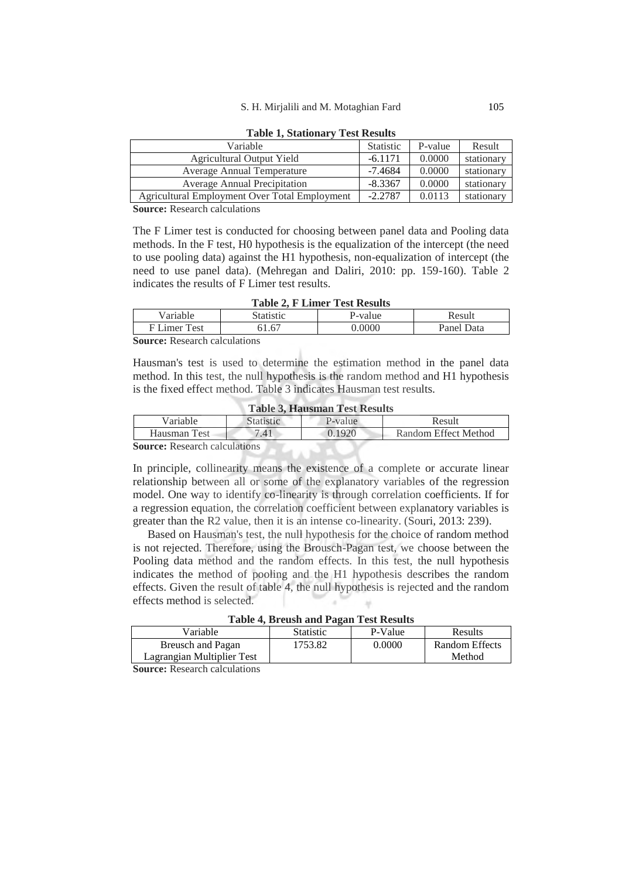| Variable                                      | Statistic | P-value | Result     |
|-----------------------------------------------|-----------|---------|------------|
| Agricultural Output Yield                     | $-6.1171$ | 0.0000  | stationary |
| Average Annual Temperature                    | $-7.4684$ | 0.0000  | stationary |
| Average Annual Precipitation                  | $-8.3367$ | 0.0000  | stationary |
| Agricultural Employment Over Total Employment | $-2.2787$ | 0.0113  | stationary |
| $A \cap D \cap 1 \cap 1$                      |           |         |            |

**Table 1, Stationary Test Results** 

**Source:** Research calculations

The F Limer test is conducted for choosing between panel data and Pooling data methods. In the F test, H0 hypothesis is the equalization of the intercept (the need to use pooling data) against the H1 hypothesis, non-equalization of intercept (the need to use panel data). (Mehregan and Daliri, 2010: pp. 159-160). Table 2 indicates the results of F Limer test results.

|--|

| Variable                      | Statistic | P-value | Result     |  |
|-------------------------------|-----------|---------|------------|--|
| F Limer Test                  | 61.67     | 0.0000  | Panel Data |  |
| Counsei Dessensh coloulations |           |         |            |  |

**Source:** Research calculations

Hausman's test is used to determine the estimation method in the panel data method. In this test, the null hypothesis is the random method and H1 hypothesis is the fixed effect method. Table 3 indicates Hausman test results.

| Table 3. Hausman Test Results |           |         |        |  |
|-------------------------------|-----------|---------|--------|--|
| Variable                      | Statistic | P-value | Result |  |

**Table 3, Hausman Test Results** 

| 'ariable                | 'austic | $-$ value | Result                      |
|-------------------------|---------|-----------|-----------------------------|
| <b>T</b> est<br>Hausman | .41     |           | <b>Random Effect Method</b> |
|                         |         |           |                             |

**Source:** Research calculations

In principle, collinearity means the existence of a complete or accurate linear relationship between all or some of the explanatory variables of the regression model. One way to identify co-linearity is through correlation coefficients. If for a regression equation, the correlation coefficient between explanatory variables is greater than the R2 value, then it is an intense co-linearity. (Souri, 2013: 239).

Based on Hausman's test, the null hypothesis for the choice of random method is not rejected. Therefore, using the Brousch-Pagan test, we choose between the Pooling data method and the random effects. In this test, the null hypothesis indicates the method of pooling and the H1 hypothesis describes the random effects. Given the result of table 4, the null hypothesis is rejected and the random effects method is selected.

| Variable                   | <b>Statistic</b> | P-Value | Results        |  |  |  |
|----------------------------|------------------|---------|----------------|--|--|--|
| Breusch and Pagan          | '753.82          | 0.0000  | Random Effects |  |  |  |
| Lagrangian Multiplier Test |                  |         | Method         |  |  |  |
|                            |                  |         |                |  |  |  |

**Source:** Research calculations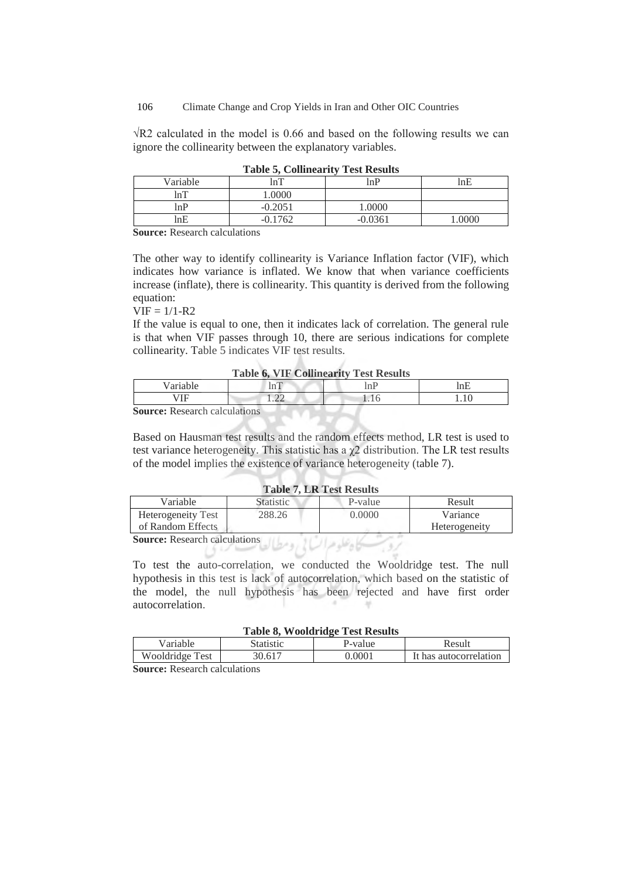106 Climate Change and Crop Yields in Iran and Other OIC Countries

√R2 calculated in the model is 0.66 and based on the following results we can ignore the collinearity between the explanatory variables.

| Variable | lnT       | lnP       | lnE |
|----------|-----------|-----------|-----|
| lnT      | $0000$ .  |           |     |
| lnP      | $-0.2051$ | 0000.1    |     |
| lnE      | $-0.1762$ | $-0.0361$ |     |
|          |           |           |     |

**Table 5, Collinearity Test Results** 

**Source:** Research calculations

The other way to identify collinearity is Variance Inflation factor (VIF), which indicates how variance is inflated. We know that when variance coefficients increase (inflate), there is collinearity. This quantity is derived from the following equation:

 $VIF = 1/1-R2$ 

If the value is equal to one, then it indicates lack of correlation. The general rule is that when VIF passes through 10, there are serious indications for complete collinearity. Table 5 indicates VIF test results.

|  |  |  | <b>Table 6, VIF Collinearity Test Results</b> |  |  |
|--|--|--|-----------------------------------------------|--|--|
|--|--|--|-----------------------------------------------|--|--|

- 14

V.

| ____<br>___________ |                                           |                               |                                          |  |
|---------------------|-------------------------------------------|-------------------------------|------------------------------------------|--|
|                     |                                           |                               | $\overline{\phantom{0}}$<br>1 an L<br>ш. |  |
| $-$<br>             | $\sim$<br>$\overline{1}$ . $\overline{2}$ | ∼<br>$\overline{\phantom{a}}$ | 1.10                                     |  |
| -<br>$\sim$         | .                                         |                               |                                          |  |

**Source:** Research calculations

Based on Hausman test results and the random effects method, LR test is used to test variance heterogeneity. This statistic has a  $\chi$ 2 distribution. The LR test results of the model implies the existence of variance heterogeneity (table 7).

### **Table 7, LR Test Results**

| Variable                             | <b>Statistic</b> | P-value | Result        |
|--------------------------------------|------------------|---------|---------------|
| Heterogeneity Test                   | 288.26           | 0.0000  | Variance      |
| of Random Effects                    |                  |         | Heterogeneity |
| <b>Source:</b> Research calculations |                  |         |               |
|                                      |                  |         |               |

To test the auto-correlation, we conducted the Wooldridge test. The null hypothesis in this test is lack of autocorrelation, which based on the statistic of the model, the null hypothesis has been rejected and have first order autocorrelation.

#### **Table 8, Wooldridge Test Results**

| Variable        | Statistic       | P-value | Result                 |  |
|-----------------|-----------------|---------|------------------------|--|
| Wooldridge Test | $30.61^{\circ}$ | 0.0001  | It has autocorrelation |  |
|                 |                 |         |                        |  |

**Source:** Research calculations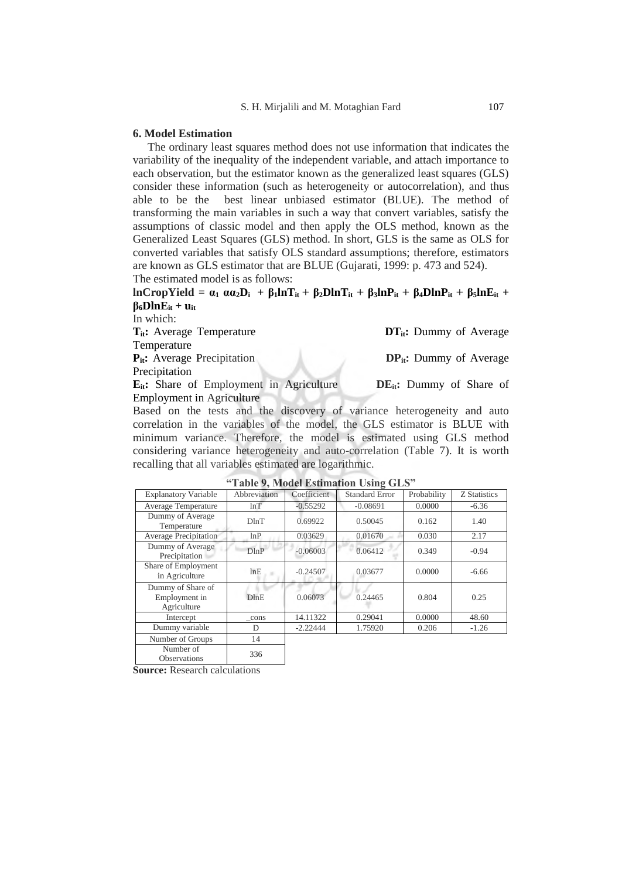#### **6. Model Estimation**

The ordinary least squares method does not use information that indicates the variability of the inequality of the independent variable, and attach importance to each observation, but the estimator known as the generalized least squares (GLS) consider these information (such as heterogeneity or autocorrelation), and thus able to be the best linear unbiased estimator (BLUE). The method of transforming the main variables in such a way that convert variables, satisfy the assumptions of classic model and then apply the OLS method, known as the Generalized Least Squares (GLS) method. In short, GLS is the same as OLS for converted variables that satisfy OLS standard assumptions; therefore, estimators are known as GLS estimator that are BLUE (Gujarati, 1999: p. 473 and 524).

The estimated model is as follows:

 $lnCropYield = \alpha_1 \alpha \alpha_2 D_i + \beta_1 lnT_{it} + \beta_2 D lnT_{it} + \beta_3 lnP_{it} + \beta_4 D lnP_{it} + \beta_5 lnE_{it} +$  $\beta_6$ **DlnE**<sub>it</sub> + **u**<sub>it</sub>

In which: **T**<sub>it</sub>**:** Average Temperature **DT**<sub>it</sub>**:** Dummy of Average Temperature **P**<sub>it</sub>**:** Average Precipitation **DP**<sub>it</sub>**:** Dummy of Average Precipitation **Eit:** Share of Employment in Agriculture **DEit:** Dummy of Share of Employment in Agriculture

Based on the tests and the discovery of variance heterogeneity and auto correlation in the variables of the model, the GLS estimator is BLUE with minimum variance. Therefore, the model is estimated using GLS method considering variance heterogeneity and auto-correlation (Table 7). It is worth recalling that all variables estimated are logarithmic.

|                                                   |              |             | $\sim$                |             |              |
|---------------------------------------------------|--------------|-------------|-----------------------|-------------|--------------|
| <b>Explanatory Variable</b>                       | Abbreviation | Coefficient | <b>Standard Error</b> | Probability | Z Statistics |
| <b>Average Temperature</b>                        | lnT          | $-0.55292$  | $-0.08691$            | 0.0000      | $-6.36$      |
| Dummy of Average<br>Temperature                   | DlnT         | 0.69922     | 0.50045               | 0.162       | 1.40         |
| <b>Average Precipitation</b>                      | lnP          | 0.03629     | 0.01670               | 0.030       | 2.17         |
| Dummy of Average<br>Precipitation                 | DlnP         | $-0.06003$  | 0.06412               | 0.349       | $-0.94$      |
| Share of Employment<br>in Agriculture             | lnE          | $-0.24507$  | 0.03677               | 0.0000      | $-6.66$      |
| Dummy of Share of<br>Employment in<br>Agriculture | DlnE         | 0.06073     | 0.24465               | 0.804       | 0.25         |
| Intercept                                         | cons         | 14.11322    | 0.29041               | 0.0000      | 48.60        |
| Dummy variable                                    | D            | $-2.22444$  | 1.75920               | 0.206       | $-1.26$      |
| Number of Groups                                  | 14           |             |                       |             |              |
| Number of<br><b>Observations</b>                  | 336          |             |                       |             |              |

**"Table 9, Model Estimation Using GLS"**

**Source:** Research calculations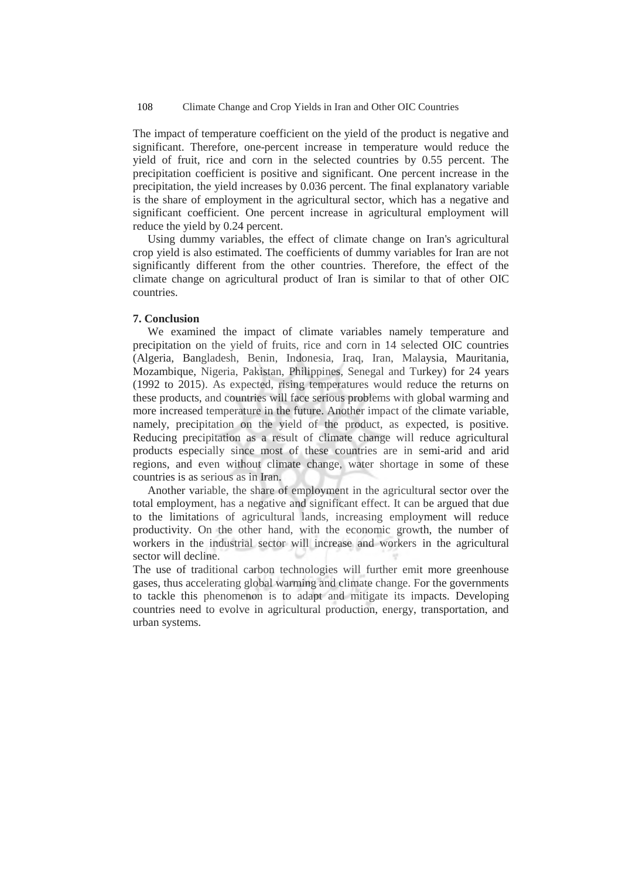#### 108 Climate Change and Crop Yields in Iran and Other OIC Countries

The impact of temperature coefficient on the yield of the product is negative and significant. Therefore, one-percent increase in temperature would reduce the yield of fruit, rice and corn in the selected countries by 0.55 percent. The precipitation coefficient is positive and significant. One percent increase in the precipitation, the yield increases by 0.036 percent. The final explanatory variable is the share of employment in the agricultural sector, which has a negative and significant coefficient. One percent increase in agricultural employment will reduce the yield by 0.24 percent.

Using dummy variables, the effect of climate change on Iran's agricultural crop yield is also estimated. The coefficients of dummy variables for Iran are not significantly different from the other countries. Therefore, the effect of the climate change on agricultural product of Iran is similar to that of other OIC countries.

### **7. Conclusion**

We examined the impact of climate variables namely temperature and precipitation on the yield of fruits, rice and corn in 14 selected OIC countries (Algeria, Bangladesh, Benin, Indonesia, Iraq, Iran, Malaysia, Mauritania, Mozambique, Nigeria, Pakistan, Philippines, Senegal and Turkey) for 24 years (1992 to 2015). As expected, rising temperatures would reduce the returns on these products, and countries will face serious problems with global warming and more increased temperature in the future. Another impact of the climate variable, namely, precipitation on the yield of the product, as expected, is positive. Reducing precipitation as a result of climate change will reduce agricultural products especially since most of these countries are in semi-arid and arid regions, and even without climate change, water shortage in some of these countries is as serious as in Iran.

Another variable, the share of employment in the agricultural sector over the total employment, has a negative and significant effect. It can be argued that due to the limitations of agricultural lands, increasing employment will reduce productivity. On the other hand, with the economic growth, the number of workers in the industrial sector will increase and workers in the agricultural sector will decline.

The use of traditional carbon technologies will further emit more greenhouse gases, thus accelerating global warming and climate change. For the governments to tackle this phenomenon is to adapt and mitigate its impacts. Developing countries need to evolve in agricultural production, energy, transportation, and urban systems.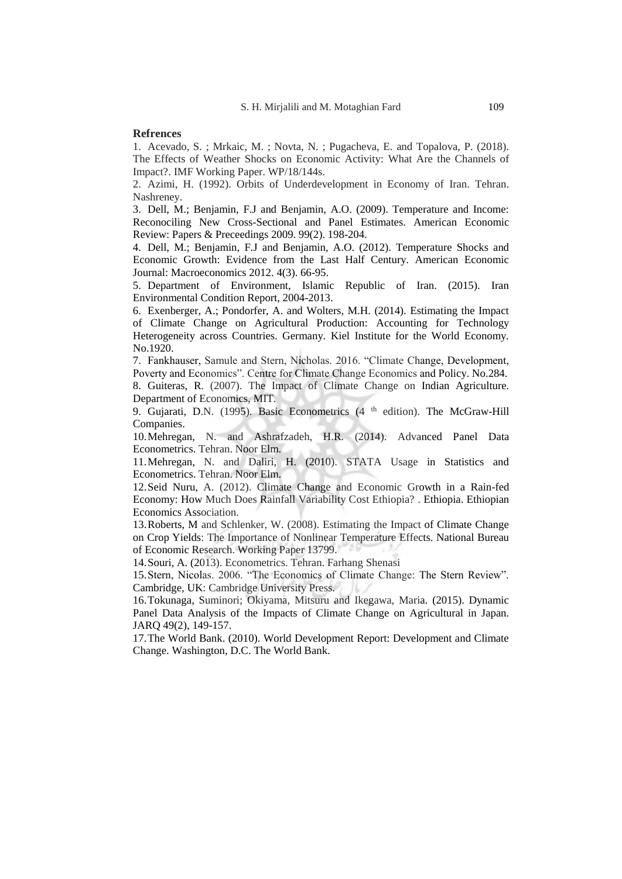### **Refrences**

1. Acevado, S. ; Mrkaic, M. ; Novta, N. ; Pugacheva, E. and Topalova, P. (2018). The Effects of Weather Shocks on Economic Activity: What Are the Channels of Impact?. IMF Working Paper. WP/18/144s.

2. Azimi, H. (1992). Orbits of Underdevelopment in Economy of Iran. Tehran. Nashreney.

3. Dell, M.; Benjamin, F.J and Benjamin, A.O. (2009). Temperature and Income: Reconociling New Cross-Sectional and Panel Estimates. American Economic Review: Papers & Preceedings 2009. 99(2). 198-204.

4. Dell, M.; Benjamin, F.J and Benjamin, A.O. (2012). Temperature Shocks and Economic Growth: Evidence from the Last Half Century. American Economic Journal: Macroeconomics 2012. 4(3). 66-95.

5. Department of Environment, Islamic Republic of Iran. (2015). Iran Environmental Condition Report, 2004-2013.

6. Exenberger, A.; Pondorfer, A. and Wolters, M.H. (2014). Estimating the Impact of Climate Change on Agricultural Production: Accounting for Technology Heterogeneity across Countries. Germany. Kiel Institute for the World Economy. No.1920.

7. Fankhauser, Samule and Stern, Nicholas. 2016. "Climate Change, Development, Poverty and Economics". Centre for Climate Change Economics and Policy. No.284. 8. Guiteras, R. (2007). The Impact of Climate Change on Indian Agriculture.

Department of Economics, MIT. 9. Gujarati, D.N. (1995). Basic Econometrics (4<sup>th</sup> edition). The McGraw-Hill Companies.

10.Mehregan, N. and Ashrafzadeh, H.R. (2014). Advanced Panel Data Econometrics. Tehran. Noor Elm.

11.Mehregan, N. and Daliri, H. (2010). STATA Usage in Statistics and Econometrics. Tehran. Noor Elm.

12.Seid Nuru, A. (2012). Climate Change and Economic Growth in a Rain-fed Economy: How Much Does Rainfall Variability Cost Ethiopia? . Ethiopia. Ethiopian Economics Association.

13.Roberts, M and Schlenker, W. (2008). Estimating the Impact of Climate Change on Crop Yields: The Importance of Nonlinear Temperature Effects. National Bureau of Economic Research. Working Paper 13799.

14.Souri, A. (2013). Econometrics. Tehran. Farhang Shenasi

15.Stern, Nicolas. 2006. "The Economics of Climate Change: The Stern Review". Cambridge, UK: Cambridge University Press.

16.Tokunaga, Suminori; Okiyama, Mitsuru and Ikegawa, Maria. (2015). Dynamic Panel Data Analysis of the Impacts of Climate Change on Agricultural in Japan. JARQ 49(2), 149-157.

17.The World Bank. (2010). World Development Report: Development and Climate Change. Washington, D.C. The World Bank.